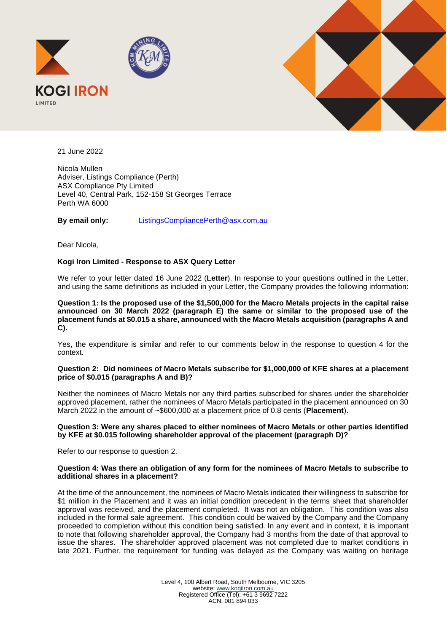



21 June 2022

Nicola Mullen Adviser, Listings Compliance (Perth) ASX Compliance Pty Limited Level 40, Central Park, 152-158 St Georges Terrace Perth WA 6000

**By email only:** ListingsCompliancePerth@asx.com.au

Dear Nicola,

# **Kogi Iron Limited - Response to ASX Query Letter**

We refer to your letter dated 16 June 2022 (**Letter**). In response to your questions outlined in the Letter, and using the same definitions as included in your Letter, the Company provides the following information:

**Question 1: Is the proposed use of the \$1,500,000 for the Macro Metals projects in the capital raise announced on 30 March 2022 (paragraph E) the same or similar to the proposed use of the placement funds at \$0.015 a share, announced with the Macro Metals acquisition (paragraphs A and C).**

Yes, the expenditure is similar and refer to our comments below in the response to question 4 for the context.

### **Question 2: Did nominees of Macro Metals subscribe for \$1,000,000 of KFE shares at a placement price of \$0.015 (paragraphs A and B)?**

Neither the nominees of Macro Metals nor any third parties subscribed for shares under the shareholder approved placement, rather the nominees of Macro Metals participated in the placement announced on 30 March 2022 in the amount of ~\$600,000 at a placement price of 0.8 cents (**Placement**).

# **Question 3: Were any shares placed to either nominees of Macro Metals or other parties identified by KFE at \$0.015 following shareholder approval of the placement (paragraph D)?**

Refer to our response to question 2.

### **Question 4: Was there an obligation of any form for the nominees of Macro Metals to subscribe to additional shares in a placement?**

At the time of the announcement, the nominees of Macro Metals indicated their willingness to subscribe for \$1 million in the Placement and it was an initial condition precedent in the terms sheet that shareholder approval was received, and the placement completed. It was not an obligation. This condition was also included in the formal sale agreement. This condition could be waived by the Company and the Company proceeded to completion without this condition being satisfied. In any event and in context, it is important to note that following shareholder approval, the Company had 3 months from the date of that approval to issue the shares. The shareholder approved placement was not completed due to market conditions in late 2021. Further, the requirement for funding was delayed as the Company was waiting on heritage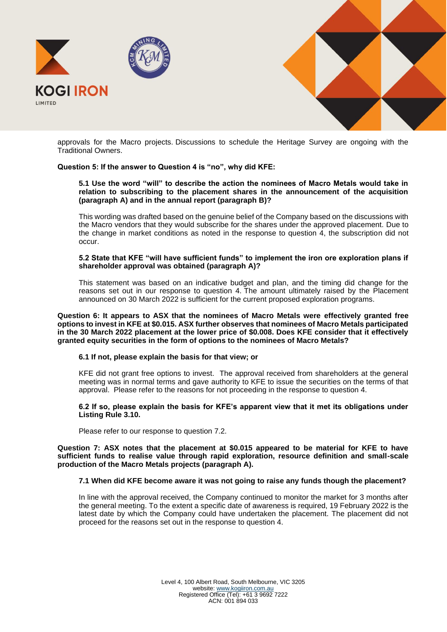



approvals for the Macro projects. Discussions to schedule the Heritage Survey are ongoing with the Traditional Owners.

# **Question 5: If the answer to Question 4 is "no", why did KFE:**

### **5.1 Use the word "will" to describe the action the nominees of Macro Metals would take in relation to subscribing to the placement shares in the announcement of the acquisition (paragraph A) and in the annual report (paragraph B)?**

This wording was drafted based on the genuine belief of the Company based on the discussions with the Macro vendors that they would subscribe for the shares under the approved placement. Due to the change in market conditions as noted in the response to question 4, the subscription did not occur.

### **5.2 State that KFE "will have sufficient funds" to implement the iron ore exploration plans if shareholder approval was obtained (paragraph A)?**

This statement was based on an indicative budget and plan, and the timing did change for the reasons set out in our response to question 4. The amount ultimately raised by the Placement announced on 30 March 2022 is sufficient for the current proposed exploration programs.

**Question 6: It appears to ASX that the nominees of Macro Metals were effectively granted free options to invest in KFE at \$0.015. ASX further observes that nominees of Macro Metals participated in the 30 March 2022 placement at the lower price of \$0.008. Does KFE consider that it effectively granted equity securities in the form of options to the nominees of Macro Metals?**

# **6.1 If not, please explain the basis for that view; or**

KFE did not grant free options to invest. The approval received from shareholders at the general meeting was in normal terms and gave authority to KFE to issue the securities on the terms of that approval. Please refer to the reasons for not proceeding in the response to question 4.

**6.2 If so, please explain the basis for KFE's apparent view that it met its obligations under Listing Rule 3.10.**

Please refer to our response to question 7.2.

**Question 7: ASX notes that the placement at \$0.015 appeared to be material for KFE to have sufficient funds to realise value through rapid exploration, resource definition and small-scale production of the Macro Metals projects (paragraph A).**

# **7.1 When did KFE become aware it was not going to raise any funds though the placement?**

In line with the approval received, the Company continued to monitor the market for 3 months after the general meeting. To the extent a specific date of awareness is required, 19 February 2022 is the latest date by which the Company could have undertaken the placement. The placement did not proceed for the reasons set out in the response to question 4.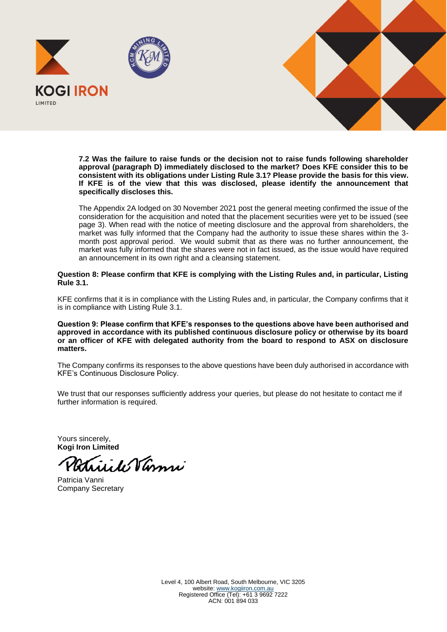

**7.2 Was the failure to raise funds or the decision not to raise funds following shareholder approval (paragraph D) immediately disclosed to the market? Does KFE consider this to be consistent with its obligations under Listing Rule 3.1? Please provide the basis for this view. If KFE is of the view that this was disclosed, please identify the announcement that specifically discloses this.**

The Appendix 2A lodged on 30 November 2021 post the general meeting confirmed the issue of the consideration for the acquisition and noted that the placement securities were yet to be issued (see page 3). When read with the notice of meeting disclosure and the approval from shareholders, the market was fully informed that the Company had the authority to issue these shares within the 3 month post approval period. We would submit that as there was no further announcement, the market was fully informed that the shares were not in fact issued, as the issue would have required an announcement in its own right and a cleansing statement.

**Question 8: Please confirm that KFE is complying with the Listing Rules and, in particular, Listing Rule 3.1.**

KFE confirms that it is in compliance with the Listing Rules and, in particular, the Company confirms that it is in compliance with Listing Rule 3.1.

**Question 9: Please confirm that KFE's responses to the questions above have been authorised and approved in accordance with its published continuous disclosure policy or otherwise by its board or an officer of KFE with delegated authority from the board to respond to ASX on disclosure matters.**

The Company confirms its responses to the above questions have been duly authorised in accordance with KFE's Continuous Disclosure Policy.

We trust that our responses sufficiently address your queries, but please do not hesitate to contact me if further information is required.

Yours sincerely, **Kogi Iron Limited**

ide Varme

Patricia Vanni Company Secretary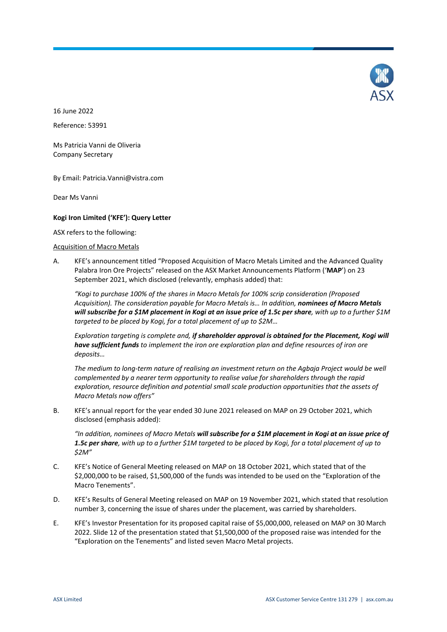

16 June 2022 Reference: 53991

Ms Patricia Vanni de Oliveria Company Secretary

By Email: Patricia.Vanni@vistra.com

Dear Ms Vanni

# **Kogi Iron Limited ('KFE'): Query Letter**

ASX refers to the following:

### Acquisition of Macro Metals

<span id="page-3-1"></span>A. KFE's announcement titled "Proposed Acquisition of Macro Metals Limited and the Advanced Quality Palabra Iron Ore Projects" released on the ASX Market Announcements Platform ('**MAP**') on 23 September 2021, which disclosed (relevantly, emphasis added) that:

*"Kogi to purchase 100% of the shares in Macro Metals for 100% scrip consideration (Proposed Acquisition). The consideration payable for Macro Metals is… In addition, nominees of Macro Metals will subscribe for a \$1M placement in Kogi at an issue price of 1.5c per share, with up to a further \$1M targeted to be placed by Kogi, for a total placement of up to \$2M…*

*Exploration targeting is complete and, if shareholder approval is obtained for the Placement, Kogi will have sufficient funds to implement the iron ore exploration plan and define resources of iron ore deposits…* 

*The medium to long-term nature of realising an investment return on the Agbaja Project would be well complemented by a nearer term opportunity to realise value for shareholders through the rapid exploration, resource definition and potential small scale production opportunities that the assets of Macro Metals now offers"*

<span id="page-3-3"></span>B. KFE's annual report for the year ended 30 June 2021 released on MAP on 29 October 2021, which disclosed (emphasis added):

*"In addition, nominees of Macro Metals will subscribe for a \$1M placement in Kogi at an issue price of 1.5c per share, with up to a further \$1M targeted to be placed by Kogi, for a total placement of up to \$2M"*

- <span id="page-3-2"></span>C. KFE's Notice of General Meeting released on MAP on 18 October 2021, which stated that of the \$2,000,000 to be raised, \$1,500,000 of the funds was intended to be used on the "Exploration of the Macro Tenements".
- <span id="page-3-4"></span>D. KFE's Results of General Meeting released on MAP on 19 November 2021, which stated that resolution number 3, concerning the issue of shares under the placement, was carried by shareholders.
- <span id="page-3-0"></span>E. KFE's Investor Presentation for its proposed capital raise of \$5,000,000, released on MAP on 30 March 2022. Slide 12 of the presentation stated that \$1,500,000 of the proposed raise was intended for the "Exploration on the Tenements" and listed seven Macro Metal projects.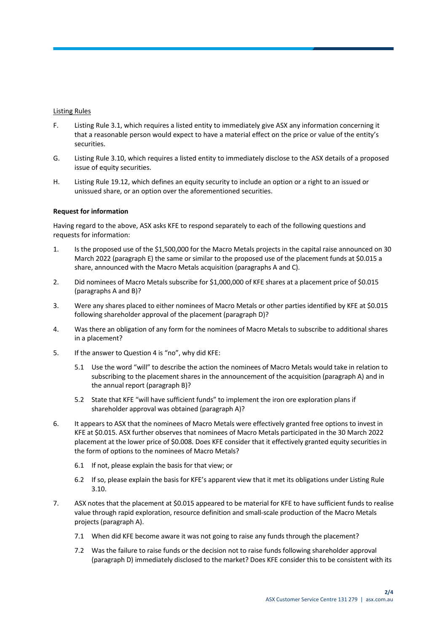### Listing Rules

- F. Listing Rule 3.1, which requires a listed entity to immediately give ASX any information concerning it that a reasonable person would expect to have a material effect on the price or value of the entity's securities.
- G. Listing Rule 3.10, which requires a listed entity to immediately disclose to the ASX details of a proposed issue of equity securities.
- H. Listing Rule 19.12, which defines an equity security to include an option or a right to an issued or unissued share, or an option over the aforementioned securities.

### **Request for information**

Having regard to the above, ASX asks KFE to respond separately to each of the following questions and requests for information:

- 1. Is the proposed use of the \$1,500,000 for the Macro Metals projects in the capital raise announced on 30 March 2022 (paragrap[h E\)](#page-3-0) the same or similar to the proposed use of the placement funds at \$0.015 a share, announced with the Macro Metals acquisition (paragraph[s A](#page-3-1) an[d C\)](#page-3-2).
- 2. Did nominees of Macro Metals subscribe for \$1,000,000 of KFE shares at a placement price of \$0.015 (paragraph[s A](#page-3-1) and [B\)](#page-3-3)?
- 3. Were any shares placed to either nominees of Macro Metals or other parties identified by KFE at \$0.015 following shareholder approval of the placement (paragrap[h D\)](#page-3-4)?
- <span id="page-4-0"></span>4. Was there an obligation of any form for the nominees of Macro Metals to subscribe to additional shares in a placement?
- 5. If the answer to Question [4](#page-4-0) is "no", why did KFE:
	- 5.1 Use the word "will" to describe the action the nominees of Macro Metals would take in relation to subscribing to the placement shares in the announcement of the acquisition (paragrap[h A\)](#page-3-1) and in the annual report (paragrap[h B\)](#page-3-3)?
	- 5.2 State that KFE "will have sufficient funds" to implement the iron ore exploration plans if shareholder approval was obtained (paragrap[h A\)](#page-3-1)?
- 6. It appears to ASX that the nominees of Macro Metals were effectively granted free options to invest in KFE at \$0.015. ASX further observes that nominees of Macro Metals participated in the 30 March 2022 placement at the lower price of \$0.008. Does KFE consider that it effectively granted equity securities in the form of options to the nominees of Macro Metals?
	- 6.1 If not, please explain the basis for that view; or
	- 6.2 If so, please explain the basis for KFE's apparent view that it met its obligations under Listing Rule 3.10.
- 7. ASX notes that the placement at \$0.015 appeared to be material for KFE to have sufficient funds to realise value through rapid exploration, resource definition and small-scale production of the Macro Metals projects (paragrap[h A\)](#page-3-1).
	- 7.1 When did KFE become aware it was not going to raise any funds through the placement?
	- 7.2 Was the failure to raise funds or the decision not to raise funds following shareholder approval (paragrap[h D\)](#page-3-4) immediately disclosed to the market? Does KFE consider this to be consistent with its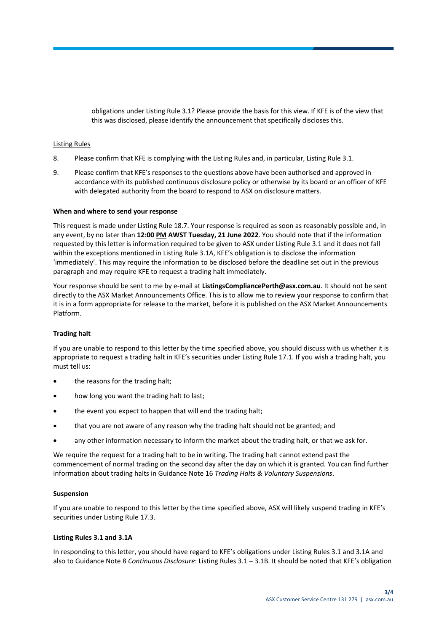obligations under Listing Rule 3.1? Please provide the basis for this view. If KFE is of the view that this was disclosed, please identify the announcement that specifically discloses this.

### Listing Rules

- 8. Please confirm that KFE is complying with the Listing Rules and, in particular, Listing Rule 3.1.
- 9. Please confirm that KFE's responses to the questions above have been authorised and approved in accordance with its published continuous disclosure policy or otherwise by its board or an officer of KFE with delegated authority from the board to respond to ASX on disclosure matters.

#### **When and where to send your response**

This request is made under Listing Rule 18.7. Your response is required as soon as reasonably possible and, in any event, by no later than **12:00 PM AWST Tuesday, 21 June 2022**. You should note that if the information requested by this letter is information required to be given to ASX under Listing Rule 3.1 and it does not fall within the exceptions mentioned in Listing Rule 3.1A, KFE's obligation is to disclose the information 'immediately'. This may require the information to be disclosed before the deadline set out in the previous paragraph and may require KFE to request a trading halt immediately.

Your response should be sent to me by e-mail at **ListingsCompliancePerth@asx.com.au**. It should not be sent directly to the ASX Market Announcements Office. This is to allow me to review your response to confirm that it is in a form appropriate for release to the market, before it is published on the ASX Market Announcements Platform.

#### **Trading halt**

If you are unable to respond to this letter by the time specified above, you should discuss with us whether it is appropriate to request a trading halt in KFE's securities under Listing Rule 17.1. If you wish a trading halt, you must tell us:

- the reasons for the trading halt;
- how long you want the trading halt to last;
- the event you expect to happen that will end the trading halt;
- that you are not aware of any reason why the trading halt should not be granted; and
- any other information necessary to inform the market about the trading halt, or that we ask for.

We require the request for a trading halt to be in writing. The trading halt cannot extend past the commencement of normal trading on the second day after the day on which it is granted. You can find further information about trading halts in Guidance Note 16 *Trading Halts & Voluntary Suspensions*.

#### **Suspension**

If you are unable to respond to this letter by the time specified above, ASX will likely suspend trading in KFE's securities under Listing Rule 17.3.

# **Listing Rules 3.1 and 3.1A**

In responding to this letter, you should have regard to KFE's obligations under Listing Rules 3.1 and 3.1A and also to Guidance Note 8 *Continuous Disclosure*: Listing Rules 3.1 – 3.1B. It should be noted that KFE's obligation